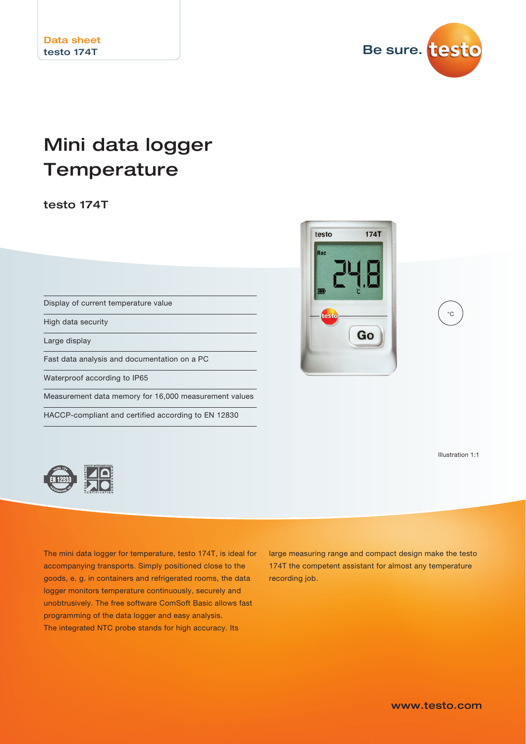

# Mini data logger **Temperature**

testo 174T

Display of current temperature value High data security Large display Fast data analysis and documentation on a PC Waterproof according to IP65 Measurement data memory for 16,000 measurement values HACCP-compliant and certified according to EN 12830



Illustration 1:1

 $^{\circ}C$ 



The mini data logger for temperature, testo 174T, is ideal for accompanying transports. Simply positioned close to the goods, e. g. in containers and refrigerated rooms, the data logger monitors temperature continuously, securely and unobtrusively. The free software ComSoft Basic allows fast programming of the data logger and easy analysis. The integrated NTC probe stands for high accuracy. Its

large measuring range and compact design make the testo 174T the competent assistant for almost any temperature recording job.